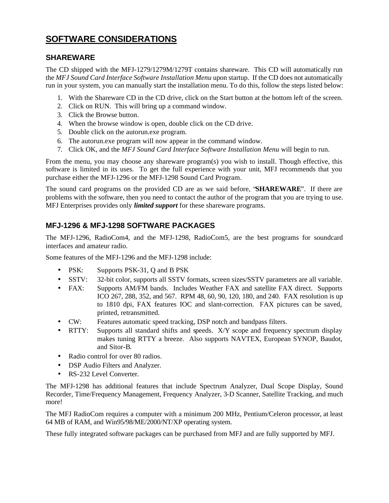## **SOFTWARE CONSIDERATIONS**

### **SHAREWARE**

The CD shipped with the MFJ-1279/1279M/1279T contains shareware. This CD will automatically run the *MFJ Sound Card Interface Software Installation Menu* upon startup. If the CD does not automatically run in your system, you can manually start the installation menu. To do this, follow the steps listed below:

- 1. With the Shareware CD in the CD drive, click on the Start button at the bottom left of the screen.
- 2. Click on RUN. This will bring up a command window.
- 3. Click the Browse button.
- 4. When the browse window is open, double click on the CD drive.
- 5. Double click on the autorun.exe program.
- 6. The autorun.exe program will now appear in the command window.
- 7. Click OK, and the *MFJ Sound Card Interface Software Installation Menu* will begin to run.

From the menu, you may choose any shareware program(s) you wish to install. Though effective, this software is limited in its uses. To get the full experience with your unit, MFJ recommends that you purchase either the MFJ-1296 or the MFJ-1298 Sound Card Program.

The sound card programs on the provided CD are as we said before, "**SHAREWARE**". If there are problems with the software, then you need to contact the author of the program that you are trying to use. MFJ Enterprises provides only *limited support* for these shareware programs.

### **MFJ-1296 & MFJ-1298 SOFTWARE PACKAGES**

The MFJ-1296, RadioCom4, and the MFJ-1298, RadioCom5, are the best programs for soundcard interfaces and amateur radio.

Some features of the MFJ-1296 and the MFJ-1298 include:

- PSK: Supports PSK-31, Q and B PSK
- SSTV: 32-bit color, supports all SSTV formats, screen sizes/SSTV parameters are all variable.
- FAX: Supports AM/FM bands. Includes Weather FAX and satellite FAX direct. Supports ICO 267, 288, 352, and 567. RPM 48, 60, 90, 120, 180, and 240. FAX resolution is up to 1810 dpi, FAX features IOC and slant-correction. FAX pictures can be saved, printed, retransmitted.
- CW: Features automatic speed tracking, DSP notch and bandpass filters.
- RTTY: Supports all standard shifts and speeds. X/Y scope and frequency spectrum display makes tuning RTTY a breeze. Also supports NAVTEX, European SYNOP, Baudot, and Sitor-B.
- Radio control for over 80 radios.
- DSP Audio Filters and Analyzer.
- RS-232 Level Converter.

The MFJ-1298 has additional features that include Spectrum Analyzer, Dual Scope Display, Sound Recorder, Time/Frequency Management, Frequency Analyzer, 3-D Scanner, Satellite Tracking, and much more!

The MFJ RadioCom requires a computer with a minimum 200 MHz, Pentium/Celeron processor, at least 64 MB of RAM, and Win95/98/ME/2000/NT/XP operating system.

These fully integrated software packages can be purchased from MFJ and are fully supported by MFJ.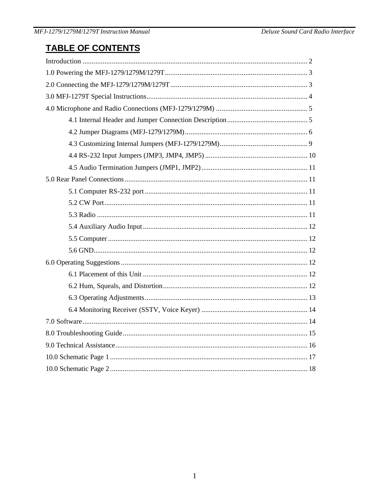# **TABLE OF CONTENTS**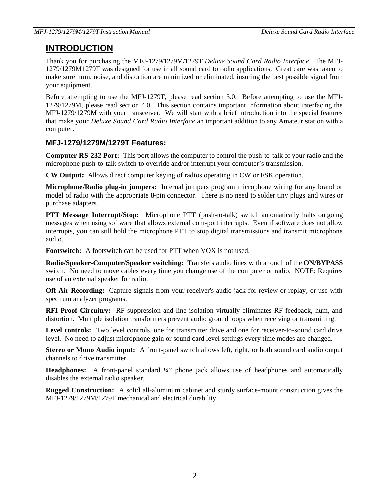## **INTRODUCTION**

Thank you for purchasing the MFJ-1279/1279M/1279T *Deluxe Sound Card Radio Interface*. The MFJ-1279/1279M1279T was designed for use in all sound card to radio applications. Great care was taken to make sure hum, noise, and distortion are minimized or eliminated, insuring the best possible signal from your equipment.

Before attempting to use the MFJ-1279T, please read section 3.0. Before attempting to use the MFJ-1279/1279M, please read section 4.0. This section contains important information about interfacing the MFJ-1279/1279M with your transceiver. We will start with a brief introduction into the special features that make your *Deluxe Sound Card Radio Interface* an important addition to any Amateur station with a computer.

### **MFJ-1279/1279M/1279T Features:**

**Computer RS-232 Port:** This port allows the computer to control the push-to-talk of your radio and the microphone push-to-talk switch to override and/or interrupt your computer's transmission.

**CW Output:** Allows direct computer keying of radios operating in CW or FSK operation.

**Microphone/Radio plug-in jumpers:** Internal jumpers program microphone wiring for any brand or model of radio with the appropriate 8-pin connector. There is no need to solder tiny plugs and wires or purchase adapters.

**PTT Message Interrupt/Stop:** Microphone PTT (push-to-talk) switch automatically halts outgoing messages when using software that allows external com-port interrupts. Even if software does not allow interrupts, you can still hold the microphone PTT to stop digital transmissions and transmit microphone audio.

**Footswitch:** A footswitch can be used for PTT when VOX is not used.

**Radio/Speaker-Computer/Speaker switching:** Transfers audio lines with a touch of the **ON/BYPASS** switch. No need to move cables every time you change use of the computer or radio. NOTE: Requires use of an external speaker for radio.

**Off-Air Recording:** Capture signals from your receiver's audio jack for review or replay, or use with spectrum analyzer programs.

**RFI Proof Circuitry:** RF suppression and line isolation virtually eliminates RF feedback, hum, and distortion. Multiple isolation transformers prevent audio ground loops when receiving or transmitting.

Level controls: Two level controls, one for transmitter drive and one for receiver-to-sound card drive level. No need to adjust microphone gain or sound card level settings every time modes are changed.

**Stereo or Mono Audio input:** A front-panel switch allows left, right, or both sound card audio output channels to drive transmitter.

**Headphones:** A front-panel standard ¼" phone jack allows use of headphones and automatically disables the external radio speaker.

**Rugged Construction:** A solid all-aluminum cabinet and sturdy surface-mount construction gives the MFJ-1279/1279M/1279T mechanical and electrical durability.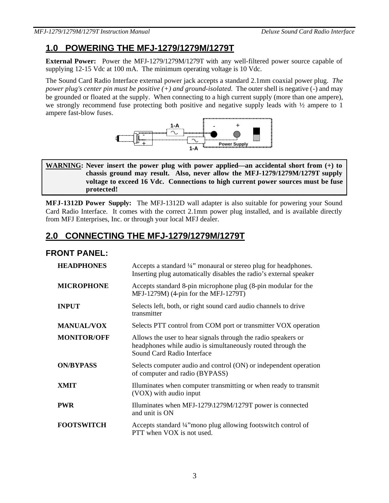# **1.0 POWERING THE MFJ-1279/1279M/1279T**

**External Power:** Power the MFJ-1279/1279M/1279T with any well-filtered power source capable of supplying 12-15 Vdc at 100 mA. The minimum operating voltage is 10 Vdc.

The Sound Card Radio Interface external power jack accepts a standard 2.1mm coaxial power plug. *The power plug's center pin must be positive*  $(+)$  *and ground-isolated.* The outer shell is negative  $(-)$  and may be grounded or floated at the supply. When connecting to a high current supply (more than one ampere), we strongly recommend fuse protecting both positive and negative supply leads with ½ ampere to 1 ampere fast-blow fuses.



#### **WARNING: Never insert the power plug with power applied—an accidental short from (+) to chassis ground may result. Also, never allow the MFJ-1279/1279M/1279T supply voltage to exceed 16 Vdc. Connections to high current power sources must be fuse protected!**

**MFJ-1312D Power Supply:** The MFJ-1312D wall adapter is also suitable for powering your Sound Card Radio Interface. It comes with the correct 2.1mm power plug installed, and is available directly from MFJ Enterprises, Inc. or through your local MFJ dealer.

# **2.0 CONNECTING THE MFJ-1279/1279M/1279T**

### **FRONT PANEL:**

| <b>HEADPHONES</b>  | Accepts a standard 1/4" monaural or stereo plug for headphones.<br>Inserting plug automatically disables the radio's external speaker                      |  |  |  |  |
|--------------------|------------------------------------------------------------------------------------------------------------------------------------------------------------|--|--|--|--|
| <b>MICROPHONE</b>  | Accepts standard 8-pin microphone plug (8-pin modular for the<br>MFJ-1279M) (4-pin for the MFJ-1279T)                                                      |  |  |  |  |
| <b>INPUT</b>       | Selects left, both, or right sound card audio channels to drive<br>transmitter                                                                             |  |  |  |  |
| <b>MANUAL/VOX</b>  | Selects PTT control from COM port or transmitter VOX operation                                                                                             |  |  |  |  |
| <b>MONITOR/OFF</b> | Allows the user to hear signals through the radio speakers or<br>headphones while audio is simultaneously routed through the<br>Sound Card Radio Interface |  |  |  |  |
| <b>ON/BYPASS</b>   | Selects computer audio and control (ON) or independent operation<br>of computer and radio (BYPASS)                                                         |  |  |  |  |
| <b>XMIT</b>        | Illuminates when computer transmitting or when ready to transmit<br>(VOX) with audio input                                                                 |  |  |  |  |
| <b>PWR</b>         | Illuminates when MFJ-1279\1279M/1279T power is connected<br>and unit is ON                                                                                 |  |  |  |  |
| <b>FOOTSWITCH</b>  | Accepts standard 1/4" mono plug allowing footswitch control of<br>PTT when VOX is not used.                                                                |  |  |  |  |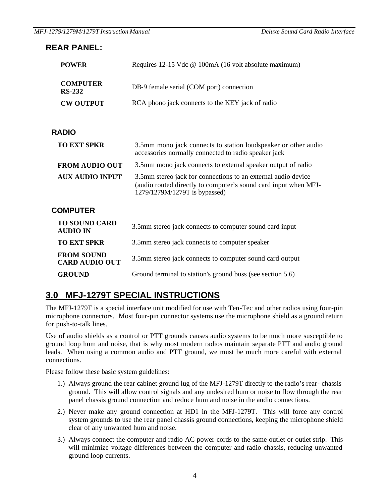### **REAR PANEL:**

| <b>POWER</b>                     | Requires 12-15 Vdc @ 100mA (16 volt absolute maximum) |
|----------------------------------|-------------------------------------------------------|
| <b>COMPUTER</b><br><b>RS-232</b> | DB-9 female serial (COM port) connection              |
| <b>CW OUTPUT</b>                 | RCA phono jack connects to the KEY jack of radio      |

### **RADIO**

| <b>TO EXT SPKR</b>     | 3.5mm mono jack connects to station loudspeaker or other audio<br>accessories normally connected to radio speaker jack                                            |
|------------------------|-------------------------------------------------------------------------------------------------------------------------------------------------------------------|
| <b>FROM AUDIO OUT</b>  | 3.5mm mono jack connects to external speaker output of radio                                                                                                      |
| <b>AUX AUDIO INPUT</b> | 3.5mm stereo jack for connections to an external audio device<br>(audio routed directly to computer's sound card input when MFJ-<br>1279/1279M/1279T is bypassed) |

### **COMPUTER**

| <b>TO SOUND CARD</b><br><b>AUDIO IN</b>    | 3.5mm stereo jack connects to computer sound card input    |
|--------------------------------------------|------------------------------------------------------------|
| <b>TO EXT SPKR</b>                         | 3.5mm stereo jack connects to computer speaker             |
| <b>FROM SOUND</b><br><b>CARD AUDIO OUT</b> | 3.5mm stereo jack connects to computer sound card output   |
| <b>GROUND</b>                              | Ground terminal to station's ground buss (see section 5.6) |

# **3.0 MFJ-1279T SPECIAL INSTRUCTIONS**

The MFJ-1279T is a special interface unit modified for use with Ten-Tec and other radios using four-pin microphone connectors. Most four-pin connector systems use the microphone shield as a ground return for push-to-talk lines.

Use of audio shields as a control or PTT grounds causes audio systems to be much more susceptible to ground loop hum and noise, that is why most modern radios maintain separate PTT and audio ground leads. When using a common audio and PTT ground, we must be much more careful with external connections.

Please follow these basic system guidelines:

- 1.) Always ground the rear cabinet ground lug of the MFJ-1279T directly to the radio's rear- chassis ground. This will allow control signals and any undesired hum or noise to flow through the rear panel chassis ground connection and reduce hum and noise in the audio connections.
- 2.) Never make any ground connection at HD1 in the MFJ-1279T. This will force any control system grounds to use the rear panel chassis ground connections, keeping the microphone shield clear of any unwanted hum and noise.
- 3.) Always connect the computer and radio AC power cords to the same outlet or outlet strip. This will minimize voltage differences between the computer and radio chassis, reducing unwanted ground loop currents.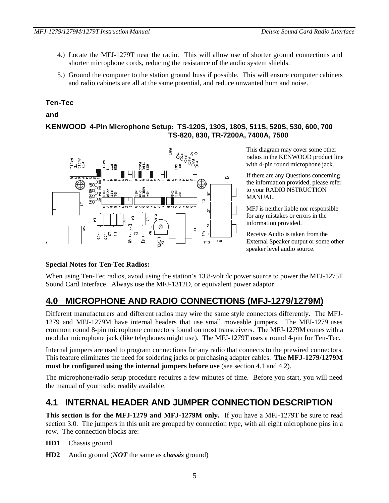- 4.) Locate the MFJ-1279T near the radio. This will allow use of shorter ground connections and shorter microphone cords, reducing the resistance of the audio system shields.
- 5.) Ground the computer to the station ground buss if possible. This will ensure computer cabinets and radio cabinets are all at the same potential, and reduce unwanted hum and noise.

#### **Ten-Tec**

#### **and**

#### **KENWOOD 4-Pin Microphone Setup: TS-120S, 130S, 180S, 511S, 520S, 530, 600, 700 TS-820, 830, TR-7200A, 7400A, 7500**



This diagram may cover some other radios in the KENWOOD product line with 4-pin round microphone jack.

If there are any Questions concerning the information provided, please refer to your RADIO NSTRUCTION MANUAL.

MFJ is neither liable nor responsible for any mistakes or errors in the information provided.

Receive Audio is taken from the External Speaker output or some other speaker level audio source.

#### **Special Notes for Ten-Tec Radios:**

When using Ten-Tec radios, avoid using the station's 13.8-volt dc power source to power the MFJ-1275T Sound Card Interface. Always use the MFJ-1312D, or equivalent power adaptor!

# **4.0 MICROPHONE AND RADIO CONNECTIONS (MFJ-1279/1279M)**

Different manufacturers and different radios may wire the same style connectors differently. The MFJ-1279 and MFJ-1279M have internal headers that use small moveable jumpers. The MFJ-1279 uses common round 8-pin microphone connectors found on most transceivers. The MFJ-1279M comes with a modular microphone jack (like telephones might use). The MFJ-1279T uses a round 4-pin for Ten-Tec.

Internal jumpers are used to program connections for any radio that connects to the prewired connectors. This feature eliminates the need for soldering jacks or purchasing adapter cables. **The MFJ-1279/1279M must be configured using the internal jumpers before use** (see section 4.1 and 4.2).

The microphone/radio setup procedure requires a few minutes of time. Before you start, you will need the manual of your radio readily available.

## **4.1 INTERNAL HEADER AND JUMPER CONNECTION DESCRIPTION**

**This section is for the MFJ-1279 and MFJ-1279M only.** If you have a MFJ-1279T be sure to read section 3.0. The jumpers in this unit are grouped by connection type, with all eight microphone pins in a row. The connection blocks are:

**HD1** Chassis ground

**HD2** Audio ground (*NOT* the same as *chassis* ground)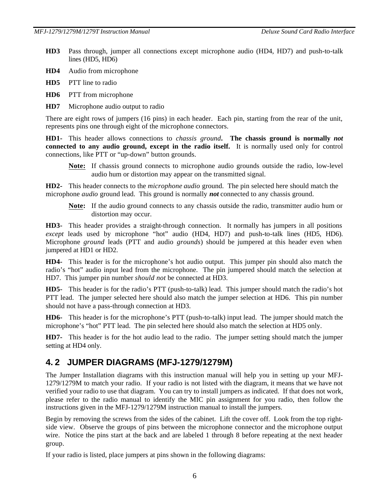- **HD3** Pass through, jumper all connections except microphone audio (HD4, HD7) and push-to-talk lines (HD5, HD6)
- **HD4** Audio from microphone
- **HD5** PTT line to radio
- **HD6** PTT from microphone
- **HD7** Microphone audio output to radio

There are eight rows of jumpers (16 pins) in each header. Each pin, starting from the rear of the unit, represents pins one through eight of the microphone connectors.

**HD1-** This header allows connections to *chassis ground***. The chassis ground is normally** *not*  **connected to any audio ground, except in the radio itself.** It is normally used only for control connections, like PTT or "up-down" button grounds.

**Note:** If chassis ground connects to microphone audio grounds outside the radio, low-level audio hum or distortion may appear on the transmitted signal.

**HD2-** This header connects to the *microphone audio* ground. The pin selected here should match the microphone *audio* ground lead. This ground is normally *not* connected to any chassis ground.

**Note:** If the audio ground connects to any chassis outside the radio, transmitter audio hum or distortion may occur.

**HD3-** This header provides a straight-through connection. It normally has jumpers in all positions *except* leads used by microphone "hot" audio (HD4, HD7) and push-to-talk lines (HD5, HD6). Microphone *ground* leads (PTT and audio *grounds*) should be jumpered at this header even when jumpered at HD1 or HD2.

**HD4-** This header is for the microphone's hot audio output. This jumper pin should also match the radio's "hot" audio input lead from the microphone. The pin jumpered should match the selection at HD7. This jumper pin number *should not* be connected at HD3.

**HD5-** This header is for the radio's PTT (push-to-talk) lead. This jumper should match the radio's hot PTT lead. The jumper selected here should also match the jumper selection at HD6. This pin number should not have a pass-through connection at HD3.

**HD6-** This header is for the microphone's PTT (push-to-talk) input lead. The jumper should match the microphone's "hot" PTT lead. The pin selected here should also match the selection at HD5 only.

**HD7-** This header is for the hot audio lead to the radio. The jumper setting should match the jumper setting at HD4 only.

### **4. 2 JUMPER DIAGRAMS (MFJ-1279/1279M)**

The Jumper Installation diagrams with this instruction manual will help you in setting up your MFJ-1279/1279M to match your radio. If your radio is not listed with the diagram, it means that we have not verified your radio to use that diagram. You can try to install jumpers as indicated. If that does not work, please refer to the radio manual to identify the MIC pin assignment for you radio, then follow the instructions given in the MFJ-1279/1279M instruction manual to install the jumpers.

Begin by removing the screws from the sides of the cabinet. Lift the cover off. Look from the top rightside view. Observe the groups of pins between the microphone connector and the microphone output wire. Notice the pins start at the back and are labeled 1 through 8 before repeating at the next header group.

If your radio is listed, place jumpers at pins shown in the following diagrams: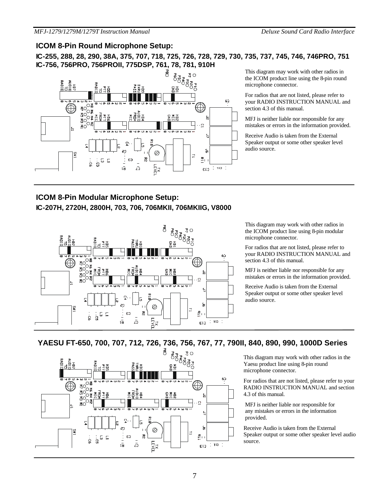### **ICOM 8-Pin Round Microphone Setup:**

**IC-255, 288, 28, 290, 38A, 375, 707, 718, 725, 726, 728, 729, 730, 735, 737, 745, 746, 746PRO, 751 IC-756, 756PRO, 756PROII, 775DSP, 761, 78, 781, 910H**



This diagram may work with other radios in the ICOM product line using the 8-pin round microphone connector.

For radios that are not listed, please refer to your RADIO INSTRUCTION MANUAL and section 4.3 of this manual.

MFJ is neither liable nor responsible for any mistakes or errors in the information provided.

Receive Audio is taken from the External Speaker output or some other speaker level audio source.

### **ICOM 8-Pin Modular Microphone Setup: IC-207H, 2720H, 2800H, 703, 706, 706MKII, 706MKIIG, V8000**



This diagram may work with other radios in the ICOM product line using 8-pin modular microphone connector.

For radios that are not listed, please refer to your RADIO INSTRUCTION MANUAL and section 4.3 of this manual.

MFJ is neither liable nor responsible for any mistakes or errors in the information provided.

Receive Audio is taken from the External Speaker output or some other speaker level audio source.

### **YAESU FT-650, 700, 707, 712, 726, 736, 756, 767, 77, 790II, 840, 890, 990, 1000D Series**



This diagram may work with other radios in the Yaesu product line using 8-pin round microphone connector.

For radios that are not listed, please refer to your RADIO INSTRUCTION MANUAL and section 4.3 of this manual.

 MFJ is neither liable nor responsible for any mistakes or errors in the information provided.

Receive Audio is taken from the External Speaker output or some other speaker level audio source.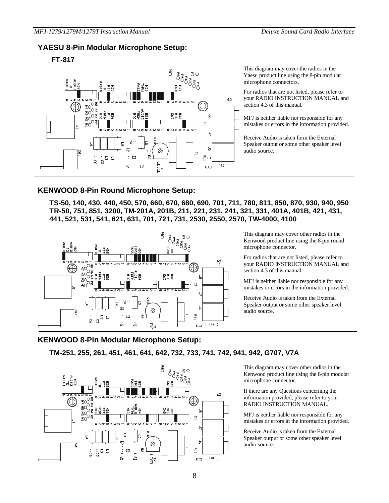#### **YAESU 8-Pin Modular Microphone Setup:**

#### **FT-817**



This diagram may cover the radios in the Yaesu product line using the 8-pin modular microphone connectors.

For radios that are not listed, please refer to your RADIO INSTRUCTION MANUAL and section 4.3 of this manual.

MFJ is neither liable nor responsible for any mistakes or errors in the information provided.

Receive Audio is taken form the External Speaker output or some other speaker level audio source.

#### **KENWOOD 8-Pin Round Microphone Setup:**

**TS-50, 140, 430, 440, 450, 570, 660, 670, 680, 690, 701, 711, 780, 811, 850, 870, 930, 940, 950 TR-50, 751, 851, 3200, TM-201A, 201B, 211, 221, 231, 241, 321, 331, 401A, 401B, 421, 431, 441, 521, 531, 541, 621, 631, 701, 721, 731, 2530, 2550, 2570, TW-4000, 4100**



This diagram may cover other radios in the Kenwood product line using the 8-pin round microphone connector.

For radios that are not listed, please refer to your RADIO INSTRUCTION MANUAL and section 4.3 of this manual.

MFJ is neither liable nor responsible for any mistakes or errors in the information provided.

Receive Audio is taken from the External Speaker output or some other speaker level audio source.

#### **KENWOOD 8-Pin Modular Microphone Setup:**

**TM-251, 255, 261, 451, 461, 641, 642, 732, 733, 741, 742, 941, 942, G707, V7A**



This diagram may cover other radios in the Kenwood product line using the 8-pin modular microphone connector.

If there are any Questions concerning the information provided, please refer to your RADIO INSTRUCTION MANUAL.

MFJ is neither liable nor responsible for any mistakes or errors in the information provided.

Receive Audio is taken from the External Speaker output or some other speaker level audio source.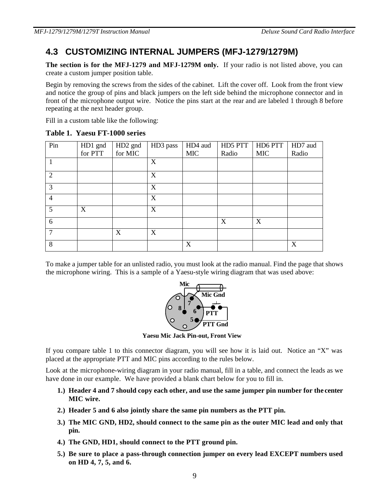# **4.3 CUSTOMIZING INTERNAL JUMPERS (MFJ-1279/1279M)**

**The section is for the MFJ-1279 and MFJ-1279M only.** If your radio is not listed above, you can create a custom jumper position table.

Begin by removing the screws from the sides of the cabinet. Lift the cover off. Look from the front view and notice the group of pins and black jumpers on the left side behind the microphone connector and in front of the microphone output wire. Notice the pins start at the rear and are labeled 1 through 8 before repeating at the next header group.

Fill in a custom table like the following:

| Pin            | HD1 gnd | HD <sub>2</sub> gnd | HD3 pass | HD4 aud    | HD5 PTT | HD6 PTT    | HD7 aud |
|----------------|---------|---------------------|----------|------------|---------|------------|---------|
|                | for PTT | for MIC             |          | <b>MIC</b> | Radio   | <b>MIC</b> | Radio   |
|                |         |                     | X        |            |         |            |         |
| 2              |         |                     | X        |            |         |            |         |
| 3              |         |                     | X        |            |         |            |         |
| $\overline{4}$ |         |                     | X        |            |         |            |         |
| 5              | X       |                     | X        |            |         |            |         |
| 6              |         |                     |          |            | X       | X          |         |
|                |         | X                   | X        |            |         |            |         |
| 8              |         |                     |          | X          |         |            | X       |

**Table 1. Yaesu FT-1000 series**

To make a jumper table for an unlisted radio, you must look at the radio manual. Find the page that shows the microphone wiring. This is a sample of a Yaesu-style wiring diagram that was used above:



**Yaesu Mic Jack Pin-out, Front View**

If you compare table 1 to this connector diagram, you will see how it is laid out. Notice an "X" was placed at the appropriate PTT and MIC pins according to the rules below.

Look at the microphone-wiring diagram in your radio manual, fill in a table, and connect the leads as we have done in our example. We have provided a blank chart below for you to fill in.

- **1.) Header 4 and 7 should copy each other, and use the same jumper pin number for the center MIC wire.**
- **2.) Header 5 and 6 also jointly share the same pin numbers as the PTT pin.**
- **3.) The MIC GND, HD2, should connect to the same pin as the outer MIC lead and only that pin.**
- **4.) The GND, HD1, should connect to the PTT ground pin.**
- **5.) Be sure to place a pass-through connection jumper on every lead EXCEPT numbers used on HD 4, 7, 5, and 6.**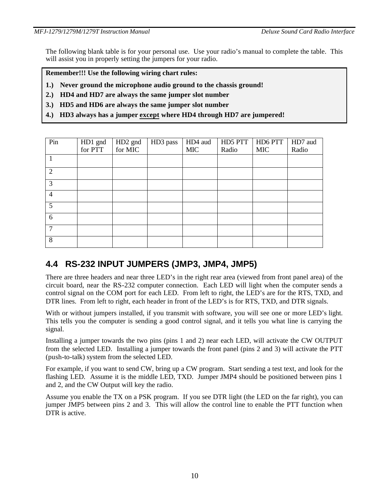The following blank table is for your personal use. Use your radio's manual to complete the table. This will assist you in properly setting the jumpers for your radio.

**Remember!!! Use the following wiring chart rules:**

- **1.) Never ground the microphone audio ground to the chassis ground!**
- **2.) HD4 and HD7 are always the same jumper slot number**
- **3.) HD5 and HD6 are always the same jumper slot number**
- **4.) HD3 always has a jumper except where HD4 through HD7 are jumpered!**

| Pin            | HD1 gnd | HD <sub>2</sub> gnd | HD3 pass | HD4 aud    | HD5 PTT | HD6 PTT    | HD7 aud |
|----------------|---------|---------------------|----------|------------|---------|------------|---------|
|                | for PTT | for MIC             |          | <b>MIC</b> | Radio   | <b>MIC</b> | Radio   |
|                |         |                     |          |            |         |            |         |
| 2              |         |                     |          |            |         |            |         |
| 3              |         |                     |          |            |         |            |         |
| $\overline{4}$ |         |                     |          |            |         |            |         |
| 5              |         |                     |          |            |         |            |         |
| 6              |         |                     |          |            |         |            |         |
| 7              |         |                     |          |            |         |            |         |
| 8              |         |                     |          |            |         |            |         |

# **4.4 RS-232 INPUT JUMPERS (JMP3, JMP4, JMP5)**

There are three headers and near three LED's in the right rear area (viewed from front panel area) of the circuit board, near the RS-232 computer connection. Each LED will light when the computer sends a control signal on the COM port for each LED. From left to right, the LED's are for the RTS, TXD, and DTR lines. From left to right, each header in front of the LED's is for RTS, TXD, and DTR signals.

With or without jumpers installed, if you transmit with software, you will see one or more LED's light. This tells you the computer is sending a good control signal, and it tells you what line is carrying the signal.

Installing a jumper towards the two pins (pins 1 and 2) near each LED, will activate the CW OUTPUT from the selected LED. Installing a jumper towards the front panel (pins 2 and 3) will activate the PTT (push-to-talk) system from the selected LED.

For example, if you want to send CW, bring up a CW program. Start sending a test text, and look for the flashing LED. Assume it is the middle LED, TXD. Jumper JMP4 should be positioned between pins 1 and 2, and the CW Output will key the radio.

Assume you enable the TX on a PSK program. If you see DTR light (the LED on the far right), you can jumper JMP5 between pins 2 and 3. This will allow the control line to enable the PTT function when DTR is active.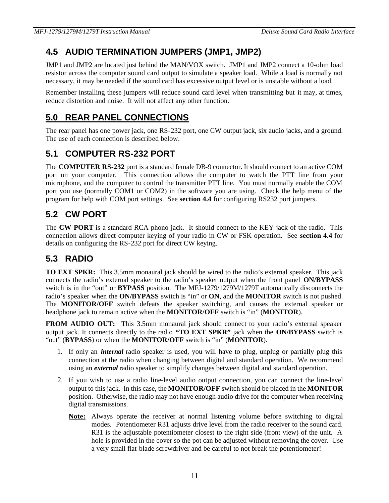# **4.5 AUDIO TERMINATION JUMPERS (JMP1, JMP2)**

JMP1 and JMP2 are located just behind the MAN/VOX switch. JMP1 and JMP2 connect a 10-ohm load resistor across the computer sound card output to simulate a speaker load. While a load is normally not necessary, it may be needed if the sound card has excessive output level or is unstable without a load.

Remember installing these jumpers will reduce sound card level when transmitting but it may, at times, reduce distortion and noise. It will not affect any other function.

# **5.0 REAR PANEL CONNECTIONS**

The rear panel has one power jack, one RS-232 port, one CW output jack, six audio jacks, and a ground. The use of each connection is described below.

# **5.1 COMPUTER RS-232 PORT**

The **COMPUTER RS-232** port is a standard female DB-9 connector. It should connect to an active COM port on your computer. This connection allows the computer to watch the PTT line from your microphone, and the computer to control the transmitter PTT line. You must normally enable the COM port you use (normally COM1 or COM2) in the software you are using. Check the help menu of the program for help with COM port settings. See **section 4.4** for configuring RS232 port jumpers.

# **5.2 CW PORT**

The **CW PORT** is a standard RCA phono jack. It should connect to the KEY jack of the radio. This connection allows direct computer keying of your radio in CW or FSK operation. See **section 4.4** for details on configuring the RS-232 port for direct CW keying.

# **5.3 RADIO**

**TO EXT SPKR:** This 3.5mm monaural jack should be wired to the radio's external speaker. This jack connects the radio's external speaker to the radio's speaker output when the front panel **ON/BYPASS** switch is in the "out" or **BYPASS** position. The MFJ-1279/1279M/1279T automatically disconnects the radio's speaker when the **ON/BYPASS** switch is "in" or **ON**, and the **MONITOR** switch is not pushed. The **MONITOR/OFF** switch defeats the speaker switching, and causes the external speaker or headphone jack to remain active when the **MONITOR/OFF** switch is "in" (**MONITOR**).

**FROM AUDIO OUT:** This 3.5mm monaural jack should connect to your radio's external speaker output jack. It connects directly to the radio **"TO EXT SPKR"** jack when the **ON/BYPASS** switch is "out" (**BYPASS**) or when the **MONITOR/OFF** switch is "in" (**MONITOR**).

- 1. If only an *internal* radio speaker is used, you will have to plug, unplug or partially plug this connection at the radio when changing between digital and standard operation. We recommend using an *external* radio speaker to simplify changes between digital and standard operation.
- 2. If you wish to use a radio line-level audio output connection, you can connect the line-level output to this jack. In this case, the **MONITOR/OFF** switch should be placed in the **MONITOR**  position. Otherwise, the radio may not have enough audio drive for the computer when receiving digital transmissions.
	- **Note:** Always operate the receiver at normal listening volume before switching to digital modes. Potentiometer R31 adjusts drive level from the radio receiver to the sound card. R31 is the adjustable potentiometer closest to the right side (front view) of the unit. A hole is provided in the cover so the pot can be adjusted without removing the cover. Use a very small flat-blade screwdriver and be careful to not break the potentiometer!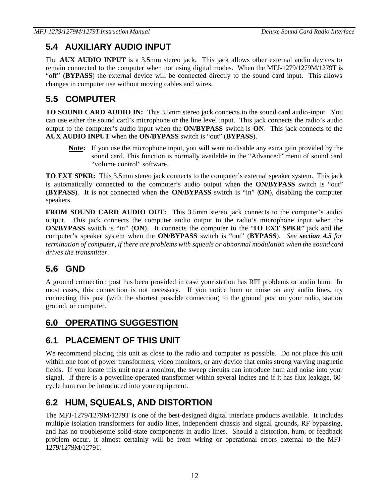# **5.4 AUXILIARY AUDIO INPUT**

The **AUX AUDIO INPUT** is a 3.5mm stereo jack. This jack allows other external audio devices to remain connected to the computer when not using digital modes. When the MFJ-1279/1279M/1279T is "off" (**BYPASS**) the external device will be connected directly to the sound card input. This allows changes in computer use without moving cables and wires.

# **5.5 COMPUTER**

**TO SOUND CARD AUDIO IN:** This 3.5mm stereo jack connects to the sound card audio-input. You can use either the sound card's microphone or the line level input. This jack connects the radio's audio output to the computer's audio input when the **ON/BYPASS** switch is **ON**. This jack connects to the **AUX AUDIO INPUT** when the **ON/BYPASS** switch is "out" (**BYPASS**).

**Note:** If you use the microphone input, you will want to disable any extra gain provided by the sound card. This function is normally available in the "Advanced" menu of sound card "volume control" software.

**TO EXT SPKR:** This 3.5mm stereo jack connects to the computer's external speaker system. This jack is automatically connected to the computer's audio output when the **ON/BYPASS** switch is "out" (**BYPASS**). It is not connected when the **ON/BYPASS** switch is "in" (**ON**), disabling the computer speakers.

**FROM SOUND CARD AUDIO OUT:** This 3.5mm stereo jack connects to the computer's audio output. This jack connects the computer audio output to the radio's microphone input when the **ON/BYPASS** switch is "in" (**ON**). It connects the computer to the "**TO EXT SPKR**" jack and the computer's speaker system when the **ON/BYPASS** switch is "out" (**BYPASS**). *See section 4.5 for termination of computer, if there are problems with squeals or abnormal modulation when the sound card drives the transmitter.*

# **5.6 GND**

A ground connection post has been provided in case your station has RFI problems or audio hum. In most cases, this connection is not necessary. If you notice hum or noise on any audio lines, try connecting this post (with the shortest possible connection) to the ground post on your radio, station ground, or computer.

# **6.0 OPERATING SUGGESTION**

# **6.1 PLACEMENT OF THIS UNIT**

We recommend placing this unit as close to the radio and computer as possible. Do not place this unit within one foot of power transformers, video monitors, or any device that emits strong varying magnetic fields. If you locate this unit near a monitor, the sweep circuits can introduce hum and noise into your signal. If there is a powerline-operated transformer within several inches and if it has flux leakage, 60 cycle hum can be introduced into your equipment.

# **6.2 HUM, SQUEALS, AND DISTORTION**

The MFJ-1279/1279M/1279T is one of the best-designed digital interface products available. It includes multiple isolation transformers for audio lines, independent chassis and signal grounds, RF bypassing, and has no troublesome solid-state components in audio lines. Should a distortion, hum, or feedback problem occur, it almost certainly will be from wiring or operational errors external to the MFJ-1279/1279M/1279T.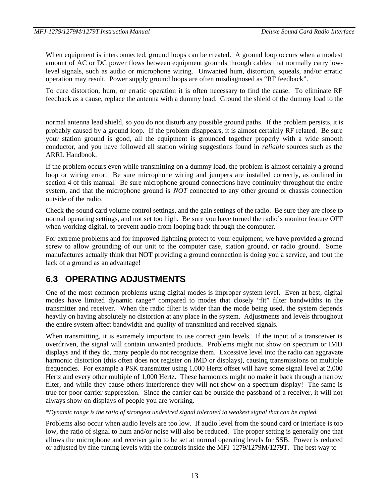When equipment is interconnected, ground loops can be created. A ground loop occurs when a modest amount of AC or DC power flows between equipment grounds through cables that normally carry lowlevel signals, such as audio or microphone wiring. Unwanted hum, distortion, squeals, and/or erratic operation may result. Power supply ground loops are often misdiagnosed as "RF feedback".

To cure distortion, hum, or erratic operation it is often necessary to find the cause. To eliminate RF feedback as a cause, replace the antenna with a dummy load. Ground the shield of the dummy load to the

normal antenna lead shield, so you do not disturb any possible ground paths. If the problem persists, it is probably caused by a ground loop. If the problem disappears, it is almost certainly RF related. Be sure your station ground is good, all the equipment is grounded together properly with a wide smooth conductor, and you have followed all station wiring suggestions found in *reliable* sources such as the ARRL Handbook.

If the problem occurs even while transmitting on a dummy load, the problem is almost certainly a ground loop or wiring error. Be sure microphone wiring and jumpers are installed correctly, as outlined in section 4 of this manual. Be sure microphone ground connections have continuity throughout the entire system, and that the microphone ground is *NOT* connected to any other ground or chassis connection outside of the radio.

Check the sound card volume control settings, and the gain settings of the radio. Be sure they are close to normal operating settings, and not set too high. Be sure you have turned the radio's monitor feature OFF when working digital, to prevent audio from looping back through the computer.

For extreme problems and for improved lightning protect to your equipment, we have provided a ground screw to allow grounding of our unit to the computer case, station ground, or radio ground. Some manufactures actually think that NOT providing a ground connection is doing you a service, and tout the lack of a ground as an advantage!

# **6.3 OPERATING ADJUSTMENTS**

One of the most common problems using digital modes is improper system level. Even at best, digital modes have limited dynamic range\* compared to modes that closely "fit" filter bandwidths in the transmitter and receiver. When the radio filter is wider than the mode being used, the system depends heavily on having absolutely no distortion at any place in the system. Adjustments and levels throughout the entire system affect bandwidth and quality of transmitted and received signals.

When transmitting, it is extremely important to use correct gain levels. If the input of a transceiver is overdriven, the signal will contain unwanted products. Problems might not show on spectrum or IMD displays and if they do, many people do not recognize them. Excessive level into the radio can aggravate harmonic distortion (this often does not register on IMD or displays), causing transmissions on multiple frequencies. For example a PSK transmitter using 1,000 Hertz offset will have some signal level at 2,000 Hertz and every other multiple of 1,000 Hertz. These harmonics might no make it back through a narrow filter, and while they cause others interference they will not show on a spectrum display! The same is true for poor carrier suppression. Since the carrier can be outside the passband of a receiver, it will not always show on displays of people you are working.

*\*Dynamic range is the ratio of strongest undesired signal tolerated to weakest signal that can be copied.*

Problems also occur when audio levels are too low. If audio level from the sound card or interface is too low, the ratio of signal to hum and/or noise will also be reduced. The proper setting is generally one that allows the microphone and receiver gain to be set at normal operating levels for SSB. Power is reduced or adjusted by fine-tuning levels with the controls inside the MFJ-1279/1279M/1279T. The best way to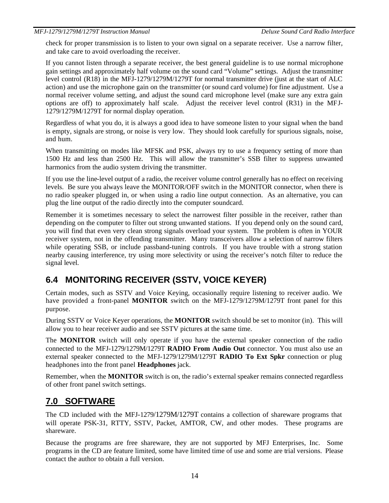check for proper transmission is to listen to your own signal on a separate receiver. Use a narrow filter, and take care to avoid overloading the receiver.

If you cannot listen through a separate receiver, the best general guideline is to use normal microphone gain settings and approximately half volume on the sound card "Volume" settings. Adjust the transmitter level control (R18) in the MFJ-1279/1279M/1279T for normal transmitter drive (just at the start of ALC action) and use the microphone gain on the transmitter (or sound card volume) for fine adjustment. Use a normal receiver volume setting, and adjust the sound card microphone level (make sure any extra gain options are off) to approximately half scale. Adjust the receiver level control (R31) in the MFJ-1279/1279M/1279T for normal display operation.

Regardless of what you do, it is always a good idea to have someone listen to your signal when the band is empty, signals are strong, or noise is very low. They should look carefully for spurious signals, noise, and hum.

When transmitting on modes like MFSK and PSK, always try to use a frequency setting of more than 1500 Hz and less than 2500 Hz. This will allow the transmitter's SSB filter to suppress unwanted harmonics from the audio system driving the transmitter.

If you use the line-level output of a radio, the receiver volume control generally has no effect on receiving levels. Be sure you always leave the MONITOR/OFF switch in the MONITOR connector, when there is no radio speaker plugged in, or when using a radio line output connection. As an alternative, you can plug the line output of the radio directly into the computer soundcard.

Remember it is sometimes necessary to select the narrowest filter possible in the receiver, rather than depending on the computer to filter out strong unwanted stations. If you depend only on the sound card, you will find that even very clean strong signals overload your system. The problem is often in YOUR receiver system, not in the offending transmitter. Many transceivers allow a selection of narrow filters while operating SSB, or include passband-tuning controls. If you have trouble with a strong station nearby causing interference, try using more selectivity or using the receiver's notch filter to reduce the signal level.

# **6.4 MONITORING RECEIVER (SSTV, VOICE KEYER)**

Certain modes, such as SSTV and Voice Keying, occasionally require listening to receiver audio. We have provided a front-panel **MONITOR** switch on the MFJ-1279/1279M/1279T front panel for this purpose.

During SSTV or Voice Keyer operations, the **MONITOR** switch should be set to monitor (in). This will allow you to hear receiver audio and see SSTV pictures at the same time.

The **MONITOR** switch will only operate if you have the external speaker connection of the radio connected to the MFJ-1279/1279M/1279T **RADIO From Audio Out** connector. You must also use an external speaker connected to the MFJ-1279/1279M/1279T **RADIO To Ext Spkr** connection or plug headphones into the front panel **Headphones** jack.

Remember, when the **MONITOR** switch is on, the radio's external speaker remains connected regardless of other front panel switch settings.

## **7.0 SOFTWARE**

The CD included with the MFJ-1279/1279M/1279T contains a collection of shareware programs that will operate PSK-31, RTTY, SSTV, Packet, AMTOR, CW, and other modes. These programs are shareware.

Because the programs are free shareware, they are not supported by MFJ Enterprises, Inc. Some programs in the CD are feature limited, some have limited time of use and some are trial versions. Please contact the author to obtain a full version.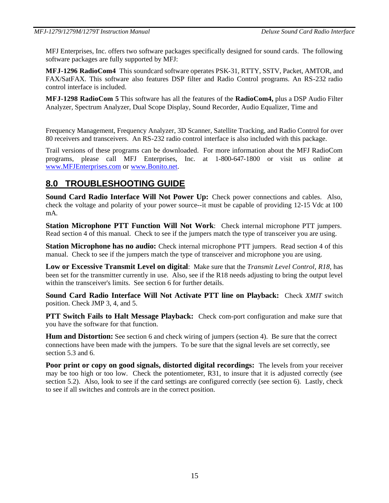MFJ Enterprises, Inc. offers two software packages specifically designed for sound cards. The following software packages are fully supported by MFJ:

**MFJ-1296 RadioCom4** This soundcard software operates PSK-31, RTTY, SSTV, Packet, AMTOR, and FAX/SatFAX. This software also features DSP filter and Radio Control programs. An RS-232 radio control interface is included.

**MFJ-1298 RadioCom 5** This software has all the features of the **RadioCom4,** plus a DSP Audio Filter Analyzer, Spectrum Analyzer, Dual Scope Display, Sound Recorder, Audio Equalizer, Time and

Frequency Management, Frequency Analyzer, 3D Scanner, Satellite Tracking, and Radio Control for over 80 receivers and transceivers. An RS-232 radio control interface is also included with this package.

Trail versions of these programs can be downloaded. For more information about the MFJ RadioCom programs, please call MFJ Enterprises, Inc. at 1-800-647-1800 or visit us online at www.MFJEnterprises.com or www.Bonito.net.

## **8.0 TROUBLESHOOTING GUIDE**

Sound Card Radio Interface Will Not Power Up: Check power connections and cables. Also, check the voltage and polarity of your power source--it must be capable of providing 12-15 Vdc at 100 mA.

**Station Microphone PTT Function Will Not Work**: Check internal microphone PTT jumpers. Read section 4 of this manual. Check to see if the jumpers match the type of transceiver you are using.

**Station Microphone has no audio:** Check internal microphone PTT jumpers. Read section 4 of this manual. Check to see if the jumpers match the type of transceiver and microphone you are using.

**Low or Excessive Transmit Level on digital**: Make sure that the *Transmit Level Control, R18*, has been set for the transmitter currently in use. Also, see if the R18 needs adjusting to bring the output level within the transceiver's limits. See section 6 for further details.

**Sound Card Radio Interface Will Not Activate PTT line on Playback:** Check *XMIT* switch position. Check JMP 3, 4, and 5.

**PTT Switch Fails to Halt Message Playback:** Check com-port configuration and make sure that you have the software for that function.

**Hum and Distortion:** See section 6 and check wiring of jumpers (section 4). Be sure that the correct connections have been made with the jumpers. To be sure that the signal levels are set correctly, see section 5.3 and 6.

**Poor print or copy on good signals, distorted digital recordings:** The levels from your receiver may be too high or too low. Check the potentiometer, R31, to insure that it is adjusted correctly (see section 5.2). Also, look to see if the card settings are configured correctly (see section 6). Lastly, check to see if all switches and controls are in the correct position.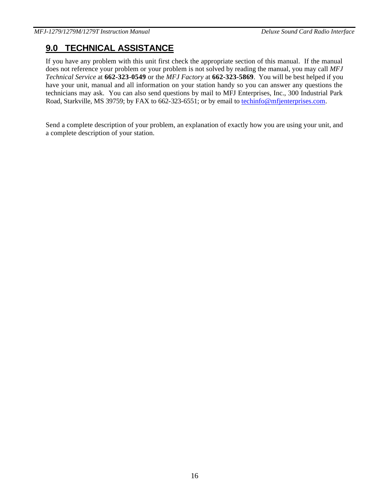# **9.0 TECHNICAL ASSISTANCE**

If you have any problem with this unit first check the appropriate section of this manual. If the manual does not reference your problem or your problem is not solved by reading the manual, you may call *MFJ Technical Service* at **662-323-0549** or the *MFJ Factory* at **662-323-5869**. You will be best helped if you have your unit, manual and all information on your station handy so you can answer any questions the technicians may ask. You can also send questions by mail to MFJ Enterprises, Inc., 300 Industrial Park Road, Starkville, MS 39759; by FAX to 662-323-6551; or by email to techinfo@mfjenterprises.com.

Send a complete description of your problem, an explanation of exactly how you are using your unit, and a complete description of your station.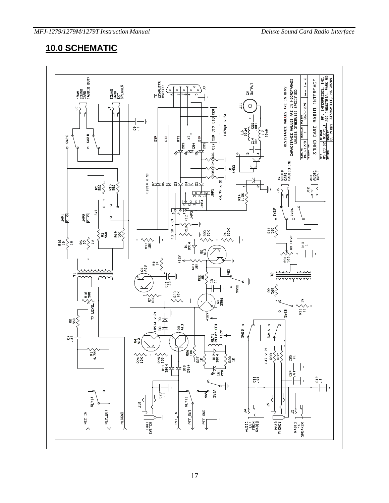# **10.0 SCHEMATIC**